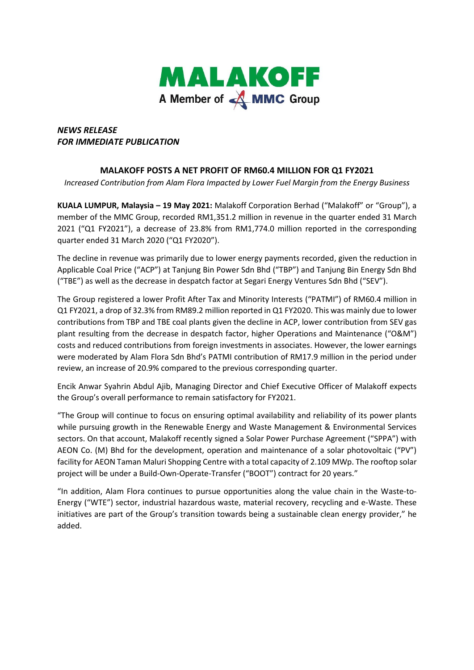

## *NEWS RELEASE FOR IMMEDIATE PUBLICATION*

## **MALAKOFF POSTS A NET PROFIT OF RM60.4 MILLION FOR Q1 FY2021**

*Increased Contribution from Alam Flora Impacted by Lower Fuel Margin from the Energy Business*

**KUALA LUMPUR, Malaysia – 19 May 2021:** Malakoff Corporation Berhad ("Malakoff" or "Group"), a member of the MMC Group, recorded RM1,351.2 million in revenue in the quarter ended 31 March 2021 ("Q1 FY2021"), a decrease of 23.8% from RM1,774.0 million reported in the corresponding quarter ended 31 March 2020 ("Q1 FY2020").

The decline in revenue was primarily due to lower energy payments recorded, given the reduction in Applicable Coal Price ("ACP") at Tanjung Bin Power Sdn Bhd ("TBP") and Tanjung Bin Energy Sdn Bhd ("TBE") as well as the decrease in despatch factor at Segari Energy Ventures Sdn Bhd ("SEV").

The Group registered a lower Profit After Tax and Minority Interests ("PATMI") of RM60.4 million in Q1 FY2021, a drop of 32.3% from RM89.2 million reported in Q1 FY2020. This was mainly due to lower contributions from TBP and TBE coal plants given the decline in ACP, lower contribution from SEV gas plant resulting from the decrease in despatch factor, higher Operations and Maintenance ("O&M") costs and reduced contributions from foreign investments in associates. However, the lower earnings were moderated by Alam Flora Sdn Bhd's PATMI contribution of RM17.9 million in the period under review, an increase of 20.9% compared to the previous corresponding quarter.

Encik Anwar Syahrin Abdul Ajib, Managing Director and Chief Executive Officer of Malakoff expects the Group's overall performance to remain satisfactory for FY2021.

"The Group will continue to focus on ensuring optimal availability and reliability of its power plants while pursuing growth in the Renewable Energy and Waste Management & Environmental Services sectors. On that account, Malakoff recently signed a Solar Power Purchase Agreement ("SPPA") with AEON Co. (M) Bhd for the development, operation and maintenance of a solar photovoltaic ("PV") facility for AEON Taman Maluri Shopping Centre with a total capacity of 2.109 MWp. The rooftop solar project will be under a Build-Own-Operate-Transfer ("BOOT") contract for 20 years."

"In addition, Alam Flora continues to pursue opportunities along the value chain in the Waste-to-Energy ("WTE") sector, industrial hazardous waste, material recovery, recycling and e-Waste. These initiatives are part of the Group's transition towards being a sustainable clean energy provider," he added.